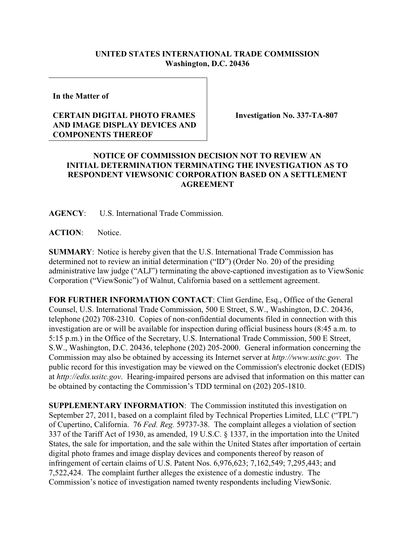## **UNITED STATES INTERNATIONAL TRADE COMMISSION Washington, D.C. 20436**

**In the Matter of** 

## **CERTAIN DIGITAL PHOTO FRAMES AND IMAGE DISPLAY DEVICES AND COMPONENTS THEREOF**

**Investigation No. 337-TA-807**

## **NOTICE OF COMMISSION DECISION NOT TO REVIEW AN INITIAL DETERMINATION TERMINATING THE INVESTIGATION AS TO RESPONDENT VIEWSONIC CORPORATION BASED ON A SETTLEMENT AGREEMENT**

**AGENCY**: U.S. International Trade Commission.

**ACTION**: Notice.

**SUMMARY**: Notice is hereby given that the U.S. International Trade Commission has determined not to review an initial determination ("ID") (Order No. 20) of the presiding administrative law judge ("ALJ") terminating the above-captioned investigation as to ViewSonic Corporation ("ViewSonic") of Walnut, California based on a settlement agreement.

**FOR FURTHER INFORMATION CONTACT**: Clint Gerdine, Esq., Office of the General Counsel, U.S. International Trade Commission, 500 E Street, S.W., Washington, D.C. 20436, telephone (202) 708-2310. Copies of non-confidential documents filed in connection with this investigation are or will be available for inspection during official business hours (8:45 a.m. to 5:15 p.m.) in the Office of the Secretary, U.S. International Trade Commission, 500 E Street, S.W., Washington, D.C. 20436, telephone (202) 205-2000. General information concerning the Commission may also be obtained by accessing its Internet server at *http://www.usitc.gov*. The public record for this investigation may be viewed on the Commission's electronic docket (EDIS) at *http://edis.usitc.gov*. Hearing-impaired persons are advised that information on this matter can be obtained by contacting the Commission's TDD terminal on (202) 205-1810.

**SUPPLEMENTARY INFORMATION**: The Commission instituted this investigation on September 27, 2011, based on a complaint filed by Technical Properties Limited, LLC ("TPL") of Cupertino, California. 76 *Fed. Reg.* 59737-38. The complaint alleges a violation of section 337 of the Tariff Act of 1930, as amended, 19 U.S.C. § 1337, in the importation into the United States, the sale for importation, and the sale within the United States after importation of certain digital photo frames and image display devices and components thereof by reason of infringement of certain claims of U.S. Patent Nos. 6,976,623; 7,162,549; 7,295,443; and 7,522,424. The complaint further alleges the existence of a domestic industry. The Commission's notice of investigation named twenty respondents including ViewSonic.